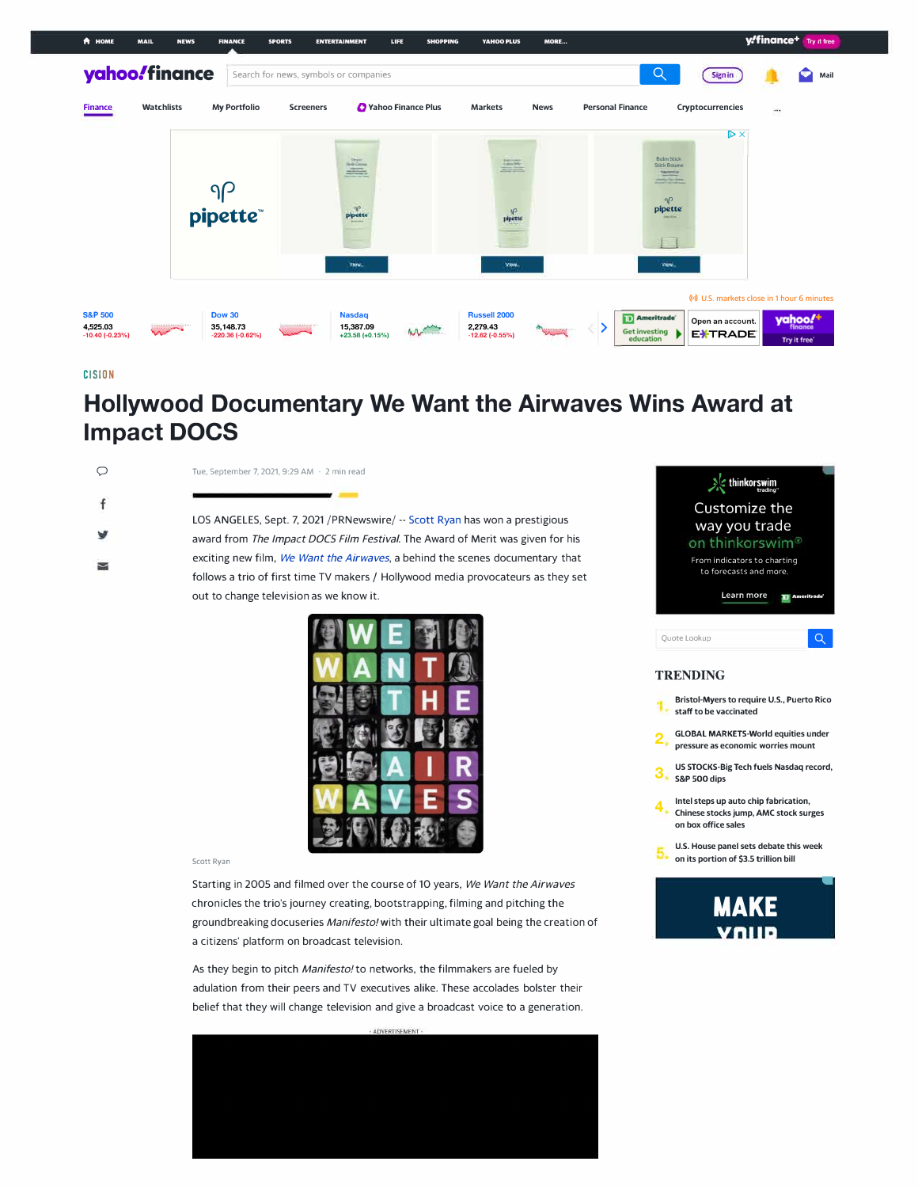

## **CISION**

## **Hollywood Documentary We Want the Airwaves Wins Award at Impact DOCS**

 $\ddot{\mathsf{f}}$ ھا

辜

0 Tue, September 7, 2021, 9:29 AM · 2 min read

LOS ANGELES, Sept. 7, 2021 /PRNewswire/ -- Scott Ryan has won a prestigious award from *The Impact DOCS Film Festival.* The Award of Merit was given for his exciting new film, *We Want the Airwaves,* a behind the scenes documentary that follows a trio of first time TV makers / Hollywood media provocateurs as they set out to change television as we know it.



## Scott Ryan

Starting in 2005 and filmed over the course of 10 years, *We Want the Airwaves*  chronicles the trio's journey creating, bootstrapping, filming and pitching the groundbreaking docuseries *Manifesto/with* their ultimate goal being the creation of a citizens' platform on broadcast television.

As they begin to pitch *Manifesto/to* networks, the filmmakers are fueled by adulation from their peers and TV executives alike. These accolades bolster their belief that they will change television and give a broadcast voice to a generation.





## **Bristol-Myers to require U.S., Puerto Rico staff to be vaccinated**

- *2*  **GLOBAL MARKETS-World equities under pressure as economic worries mount**
- **3**  US STOCKS-Big Tech fuels Nasdaq record, S&P 500 dips
- **4**  Intel steps up auto chip fabrication, Chinese stocks jump, AMC stock surges on box office sales
- U.S. House panel sets debate this week on its portion of **\$3.5** trillion bill